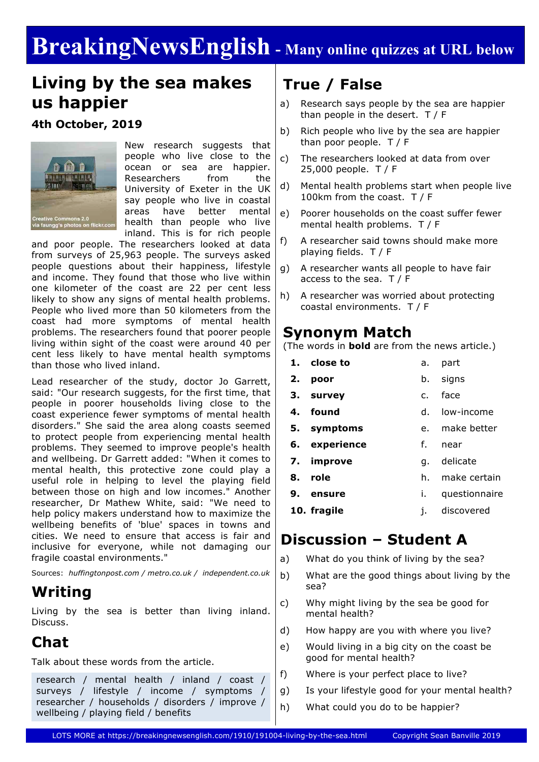# **BreakingNewsEnglish - Many online quizzes at URL below**

### **Living by the sea makes us happier**

#### **4th October, 2019**



New research suggests that people who live close to the ocean or sea are happier. Researchers from the University of Exeter in the UK say people who live in coastal areas have better mental health than people who live inland. This is for rich people

and poor people. The researchers looked at data from surveys of 25,963 people. The surveys asked people questions about their happiness, lifestyle and income. They found that those who live within one kilometer of the coast are 22 per cent less likely to show any signs of mental health problems. People who lived more than 50 kilometers from the coast had more symptoms of mental health problems. The researchers found that poorer people living within sight of the coast were around 40 per cent less likely to have mental health symptoms than those who lived inland.

Lead researcher of the study, doctor Jo Garrett, said: "Our research suggests, for the first time, that people in poorer households living close to the coast experience fewer symptoms of mental health disorders." She said the area along coasts seemed to protect people from experiencing mental health problems. They seemed to improve people's health and wellbeing. Dr Garrett added: "When it comes to mental health, this protective zone could play a useful role in helping to level the playing field between those on high and low incomes." Another researcher, Dr Mathew White, said: "We need to help policy makers understand how to maximize the wellbeing benefits of 'blue' spaces in towns and cities. We need to ensure that access is fair and inclusive for everyone, while not damaging our fragile coastal environments."

Sources: *huffingtonpost.com / metro.co.uk / independent.co.uk*

### **Writing**

Living by the sea is better than living inland. Discuss.

### **Chat**

Talk about these words from the article.

research / mental health / inland / coast / surveys / lifestyle / income / symptoms / researcher / households / disorders / improve / wellbeing / playing field / benefits

### **True / False**

- a) Research says people by the sea are happier than people in the desert. T / F
- b) Rich people who live by the sea are happier than poor people. T / F
- c) The researchers looked at data from over 25,000 people. T / F
- d) Mental health problems start when people live 100km from the coast. T / F
- e) Poorer households on the coast suffer fewer mental health problems. T / F
- f) A researcher said towns should make more playing fields. T / F
- g) A researcher wants all people to have fair access to the sea. T / F
- h) A researcher was worried about protecting coastal environments. T / F

#### **Synonym Match**

(The words in **bold** are from the news article.)

|    | 1. close to   | a. | part           |
|----|---------------|----|----------------|
|    | 2. poor       |    | b. signs       |
|    | 3. survey     |    | c. face        |
|    | 4. found      |    | d. low-income  |
|    | 5. symptoms   |    | e. make better |
|    | 6. experience | f. | near           |
|    | 7. improve    |    | g. delicate    |
|    | 8. role       | h. | make certain   |
| 9. | ensure        | L. | questionnaire  |
|    | 10. fragile   | i. | discovered     |
|    |               |    |                |

#### **Discussion – Student A**

- a) What do you think of living by the sea?
- b) What are the good things about living by the sea?
- c) Why might living by the sea be good for mental health?
- d) How happy are you with where you live?
- e) Would living in a big city on the coast be good for mental health?
- f) Where is your perfect place to live?
- g) Is your lifestyle good for your mental health?
- h) What could you do to be happier?